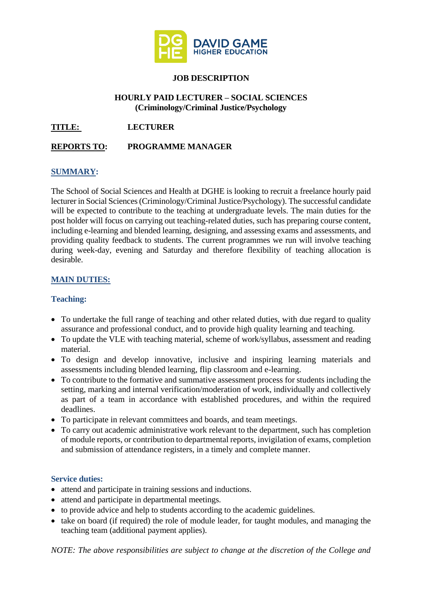

# **JOB DESCRIPTION**

### **HOURLY PAID LECTURER – SOCIAL SCIENCES (Criminology/Criminal Justice/Psychology**

**TITLE: LECTURER**

# **REPORTS TO: PROGRAMME MANAGER**

### **SUMMARY:**

The School of Social Sciences and Health at DGHE is looking to recruit a freelance hourly paid lecturer in Social Sciences (Criminology/Criminal Justice/Psychology). The successful candidate will be expected to contribute to the teaching at undergraduate levels. The main duties for the post holder will focus on carrying out teaching-related duties, such has preparing course content, including e-learning and blended learning, designing, and assessing exams and assessments, and providing quality feedback to students. The current programmes we run will involve teaching during week-day, evening and Saturday and therefore flexibility of teaching allocation is desirable.

## **MAIN DUTIES:**

#### **Teaching:**

- To undertake the full range of teaching and other related duties, with due regard to quality assurance and professional conduct, and to provide high quality learning and teaching.
- To update the VLE with teaching material, scheme of work/syllabus, assessment and reading material.
- To design and develop innovative, inclusive and inspiring learning materials and assessments including blended learning, flip classroom and e-learning.
- To contribute to the formative and summative assessment process for students including the setting, marking and internal verification/moderation of work, individually and collectively as part of a team in accordance with established procedures, and within the required deadlines.
- To participate in relevant committees and boards, and team meetings.
- To carry out academic administrative work relevant to the department, such has completion of module reports, or contribution to departmental reports, invigilation of exams, completion and submission of attendance registers, in a timely and complete manner.

#### **Service duties:**

- attend and participate in training sessions and inductions.
- attend and participate in departmental meetings.
- to provide advice and help to students according to the academic guidelines.
- take on board (if required) the role of module leader, for taught modules, and managing the teaching team (additional payment applies).

*NOTE: The above responsibilities are subject to change at the discretion of the College and*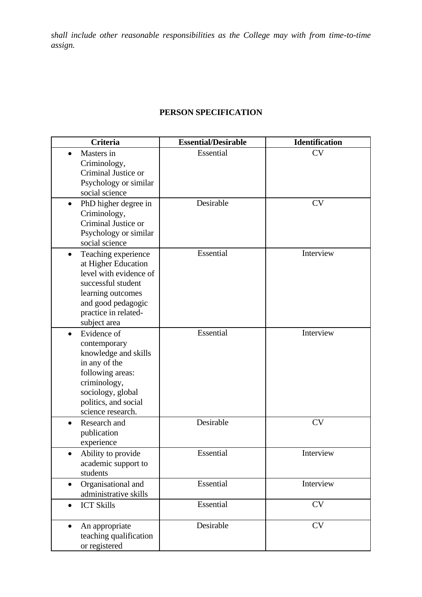*shall include other reasonable responsibilities as the College may with from time-to-time assign.* 

# **PERSON SPECIFICATION**

| <b>Criteria</b>                                                                                                                                                                            | <b>Essential/Desirable</b> | <b>Identification</b> |
|--------------------------------------------------------------------------------------------------------------------------------------------------------------------------------------------|----------------------------|-----------------------|
| Masters in<br>Criminology,<br>Criminal Justice or<br>Psychology or similar<br>social science                                                                                               | Essential                  | <b>CV</b>             |
| PhD higher degree in<br>$\bullet$<br>Criminology,<br>Criminal Justice or<br>Psychology or similar<br>social science                                                                        | Desirable                  | <b>CV</b>             |
| Teaching experience<br>$\bullet$<br>at Higher Education<br>level with evidence of<br>successful student<br>learning outcomes<br>and good pedagogic<br>practice in related-<br>subject area | Essential                  | Interview             |
| Evidence of<br>$\bullet$<br>contemporary<br>knowledge and skills<br>in any of the<br>following areas:<br>criminology,<br>sociology, global<br>politics, and social<br>science research.    | Essential                  | Interview             |
| Research and<br>publication<br>experience                                                                                                                                                  | Desirable                  | <b>CV</b>             |
| Ability to provide<br>academic support to<br>students                                                                                                                                      | Essential                  | Interview             |
| Organisational and<br>$\bullet$<br>administrative skills                                                                                                                                   | Essential                  | Interview             |
| <b>ICT Skills</b><br>$\bullet$                                                                                                                                                             | Essential                  | <b>CV</b>             |
| An appropriate<br>$\bullet$<br>teaching qualification<br>or registered                                                                                                                     | Desirable                  | <b>CV</b>             |